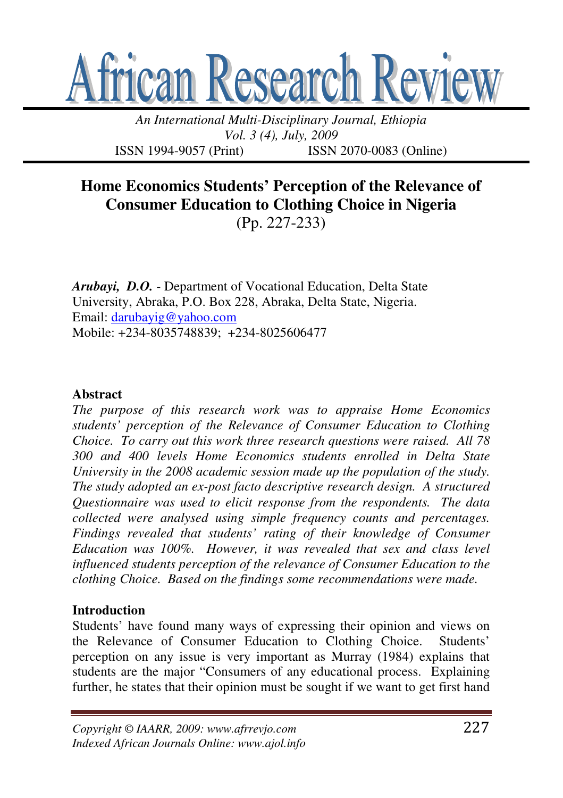

*An International Multi-Disciplinary Journal, Ethiopia Vol. 3 (4), July, 2009*  ISSN 1994-9057 (Print) ISSN 2070-0083 (Online)

# **Home Economics Students' Perception of the Relevance of Consumer Education to Clothing Choice in Nigeria**  (Pp. 227-233)

*Arubayi, D.O.* - Department of Vocational Education, Delta State University, Abraka, P.O. Box 228, Abraka, Delta State, Nigeria. Email: darubayig@yahoo.com Mobile: +234-8035748839; +234-8025606477

### **Abstract**

*The purpose of this research work was to appraise Home Economics students' perception of the Relevance of Consumer Education to Clothing Choice. To carry out this work three research questions were raised. All 78 300 and 400 levels Home Economics students enrolled in Delta State University in the 2008 academic session made up the population of the study. The study adopted an ex-post facto descriptive research design. A structured Questionnaire was used to elicit response from the respondents. The data collected were analysed using simple frequency counts and percentages. Findings revealed that students' rating of their knowledge of Consumer Education was 100%. However, it was revealed that sex and class level influenced students perception of the relevance of Consumer Education to the clothing Choice. Based on the findings some recommendations were made.* 

#### **Introduction**

Students' have found many ways of expressing their opinion and views on the Relevance of Consumer Education to Clothing Choice. Students' perception on any issue is very important as Murray (1984) explains that students are the major "Consumers of any educational process. Explaining further, he states that their opinion must be sought if we want to get first hand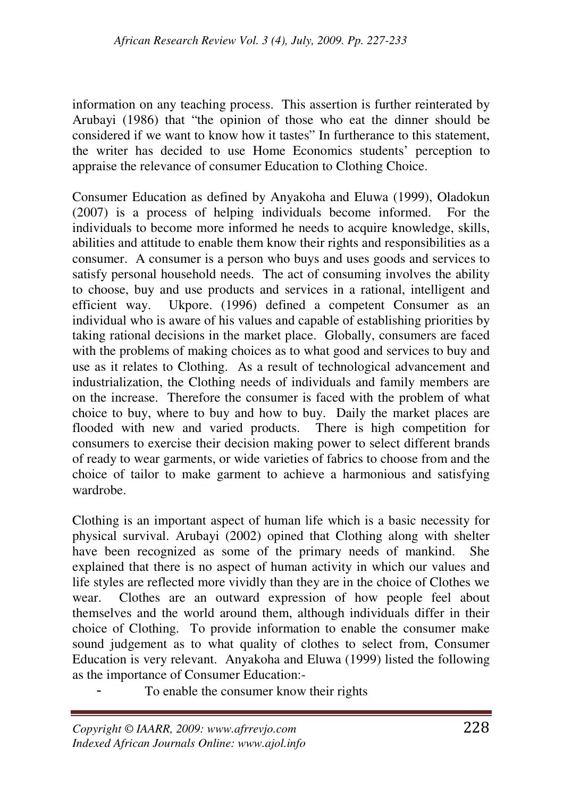information on any teaching process. This assertion is further reinterated by Arubayi (1986) that "the opinion of those who eat the dinner should be considered if we want to know how it tastes" In furtherance to this statement, the writer has decided to use Home Economics students' perception to appraise the relevance of consumer Education to Clothing Choice.

Consumer Education as defined by Anyakoha and Eluwa (1999), Oladokun (2007) is a process of helping individuals become informed. For the individuals to become more informed he needs to acquire knowledge, skills, abilities and attitude to enable them know their rights and responsibilities as a consumer. A consumer is a person who buys and uses goods and services to satisfy personal household needs. The act of consuming involves the ability to choose, buy and use products and services in a rational, intelligent and efficient way. Ukpore. (1996) defined a competent Consumer as an individual who is aware of his values and capable of establishing priorities by taking rational decisions in the market place. Globally, consumers are faced with the problems of making choices as to what good and services to buy and use as it relates to Clothing. As a result of technological advancement and industrialization, the Clothing needs of individuals and family members are on the increase. Therefore the consumer is faced with the problem of what choice to buy, where to buy and how to buy. Daily the market places are flooded with new and varied products. There is high competition for consumers to exercise their decision making power to select different brands of ready to wear garments, or wide varieties of fabrics to choose from and the choice of tailor to make garment to achieve a harmonious and satisfying wardrobe.

Clothing is an important aspect of human life which is a basic necessity for physical survival. Arubayi (2002) opined that Clothing along with shelter have been recognized as some of the primary needs of mankind. She explained that there is no aspect of human activity in which our values and life styles are reflected more vividly than they are in the choice of Clothes we wear. Clothes are an outward expression of how people feel about themselves and the world around them, although individuals differ in their choice of Clothing. To provide information to enable the consumer make sound judgement as to what quality of clothes to select from, Consumer Education is very relevant. Anyakoha and Eluwa (1999) listed the following as the importance of Consumer Education:-

To enable the consumer know their rights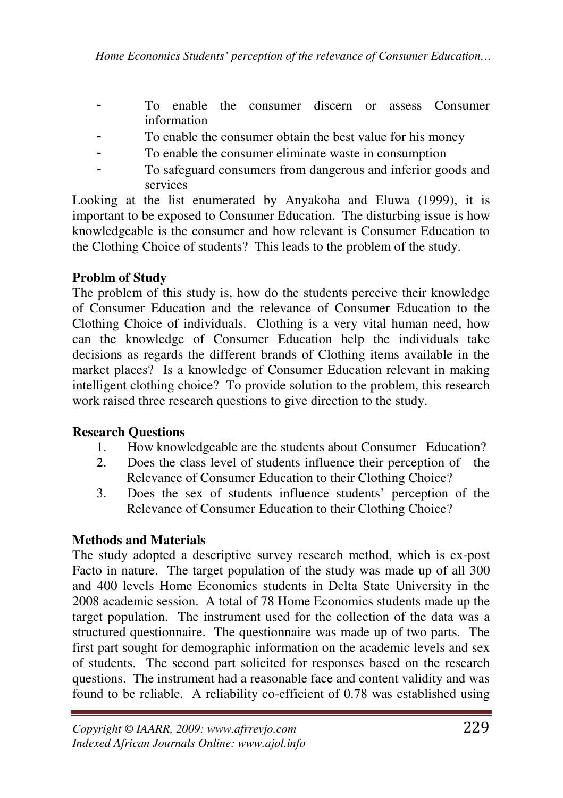- To enable the consumer discern or assess Consumer information
- To enable the consumer obtain the best value for his money
- To enable the consumer eliminate waste in consumption
- To safeguard consumers from dangerous and inferior goods and services

Looking at the list enumerated by Anyakoha and Eluwa (1999), it is important to be exposed to Consumer Education. The disturbing issue is how knowledgeable is the consumer and how relevant is Consumer Education to the Clothing Choice of students? This leads to the problem of the study.

# **Problm of Study**

The problem of this study is, how do the students perceive their knowledge of Consumer Education and the relevance of Consumer Education to the Clothing Choice of individuals. Clothing is a very vital human need, how can the knowledge of Consumer Education help the individuals take decisions as regards the different brands of Clothing items available in the market places? Is a knowledge of Consumer Education relevant in making intelligent clothing choice? To provide solution to the problem, this research work raised three research questions to give direction to the study.

## **Research Questions**

- 1. How knowledgeable are the students about Consumer Education?
- 2. Does the class level of students influence their perception of the Relevance of Consumer Education to their Clothing Choice?
- 3. Does the sex of students influence students' perception of the Relevance of Consumer Education to their Clothing Choice?

# **Methods and Materials**

The study adopted a descriptive survey research method, which is ex-post Facto in nature. The target population of the study was made up of all 300 and 400 levels Home Economics students in Delta State University in the 2008 academic session. A total of 78 Home Economics students made up the target population. The instrument used for the collection of the data was a structured questionnaire. The questionnaire was made up of two parts. The first part sought for demographic information on the academic levels and sex of students. The second part solicited for responses based on the research questions. The instrument had a reasonable face and content validity and was found to be reliable. A reliability co-efficient of 0.78 was established using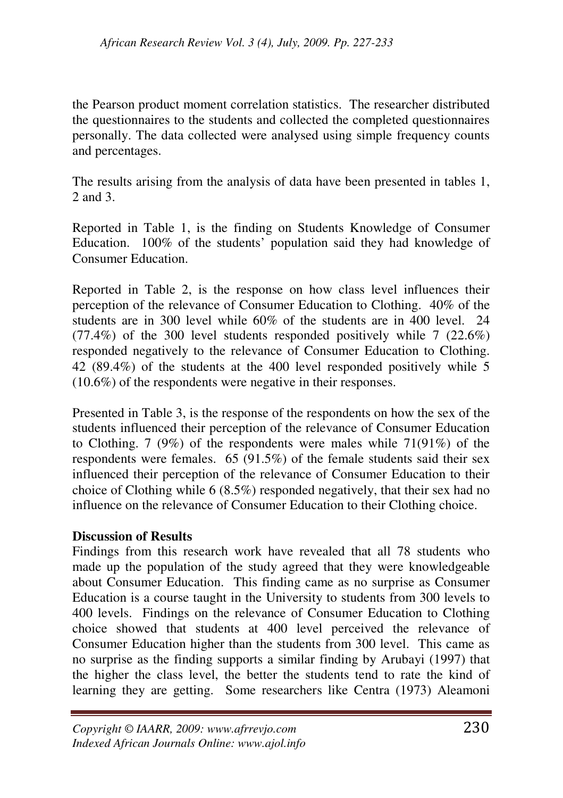the Pearson product moment correlation statistics. The researcher distributed the questionnaires to the students and collected the completed questionnaires personally. The data collected were analysed using simple frequency counts and percentages.

The results arising from the analysis of data have been presented in tables 1, 2 and 3.

Reported in Table 1, is the finding on Students Knowledge of Consumer Education. 100% of the students' population said they had knowledge of Consumer Education.

Reported in Table 2, is the response on how class level influences their perception of the relevance of Consumer Education to Clothing. 40% of the students are in 300 level while 60% of the students are in 400 level. 24 (77.4%) of the 300 level students responded positively while 7 (22.6%) responded negatively to the relevance of Consumer Education to Clothing. 42 (89.4%) of the students at the 400 level responded positively while 5 (10.6%) of the respondents were negative in their responses.

Presented in Table 3, is the response of the respondents on how the sex of the students influenced their perception of the relevance of Consumer Education to Clothing. 7 (9%) of the respondents were males while 71(91%) of the respondents were females. 65 (91.5%) of the female students said their sex influenced their perception of the relevance of Consumer Education to their choice of Clothing while  $6(8.5\%)$  responded negatively, that their sex had no influence on the relevance of Consumer Education to their Clothing choice.

## **Discussion of Results**

Findings from this research work have revealed that all 78 students who made up the population of the study agreed that they were knowledgeable about Consumer Education. This finding came as no surprise as Consumer Education is a course taught in the University to students from 300 levels to 400 levels. Findings on the relevance of Consumer Education to Clothing choice showed that students at 400 level perceived the relevance of Consumer Education higher than the students from 300 level. This came as no surprise as the finding supports a similar finding by Arubayi (1997) that the higher the class level, the better the students tend to rate the kind of learning they are getting. Some researchers like Centra (1973) Aleamoni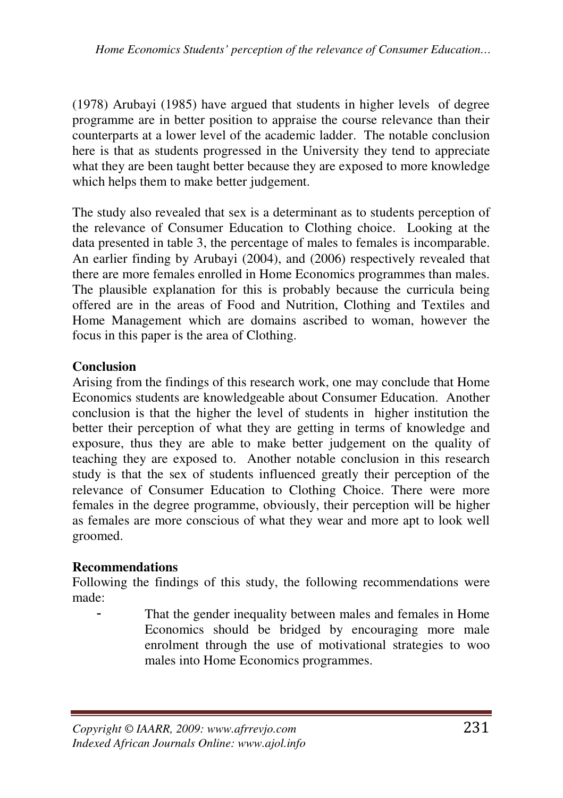(1978) Arubayi (1985) have argued that students in higher levels of degree programme are in better position to appraise the course relevance than their counterparts at a lower level of the academic ladder. The notable conclusion here is that as students progressed in the University they tend to appreciate what they are been taught better because they are exposed to more knowledge which helps them to make better judgement.

The study also revealed that sex is a determinant as to students perception of the relevance of Consumer Education to Clothing choice. Looking at the data presented in table 3, the percentage of males to females is incomparable. An earlier finding by Arubayi (2004), and (2006) respectively revealed that there are more females enrolled in Home Economics programmes than males. The plausible explanation for this is probably because the curricula being offered are in the areas of Food and Nutrition, Clothing and Textiles and Home Management which are domains ascribed to woman, however the focus in this paper is the area of Clothing.

# **Conclusion**

Arising from the findings of this research work, one may conclude that Home Economics students are knowledgeable about Consumer Education. Another conclusion is that the higher the level of students in higher institution the better their perception of what they are getting in terms of knowledge and exposure, thus they are able to make better judgement on the quality of teaching they are exposed to. Another notable conclusion in this research study is that the sex of students influenced greatly their perception of the relevance of Consumer Education to Clothing Choice. There were more females in the degree programme, obviously, their perception will be higher as females are more conscious of what they wear and more apt to look well groomed.

## **Recommendations**

Following the findings of this study, the following recommendations were made:

That the gender inequality between males and females in Home Economics should be bridged by encouraging more male enrolment through the use of motivational strategies to woo males into Home Economics programmes.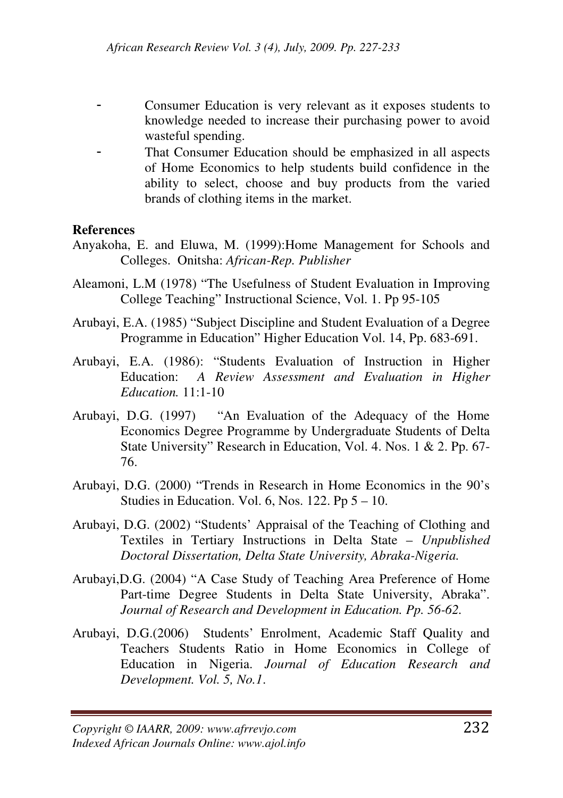- Consumer Education is very relevant as it exposes students to knowledge needed to increase their purchasing power to avoid wasteful spending.
- That Consumer Education should be emphasized in all aspects of Home Economics to help students build confidence in the ability to select, choose and buy products from the varied brands of clothing items in the market.

### **References**

- Anyakoha, E. and Eluwa, M. (1999):Home Management for Schools and Colleges. Onitsha: *African-Rep. Publisher*
- Aleamoni, L.M (1978) "The Usefulness of Student Evaluation in Improving College Teaching" Instructional Science, Vol. 1. Pp 95-105
- Arubayi, E.A. (1985) "Subject Discipline and Student Evaluation of a Degree Programme in Education" Higher Education Vol. 14, Pp. 683-691.
- Arubayi, E.A. (1986): "Students Evaluation of Instruction in Higher Education: *A Review Assessment and Evaluation in Higher Education.* 11:1-10
- Arubayi, D.G. (1997) "An Evaluation of the Adequacy of the Home Economics Degree Programme by Undergraduate Students of Delta State University" Research in Education, Vol. 4. Nos. 1 & 2. Pp. 67- 76.
- Arubayi, D.G. (2000) "Trends in Research in Home Economics in the 90's Studies in Education. Vol. 6, Nos. 122. Pp 5 – 10.
- Arubayi, D.G. (2002) "Students' Appraisal of the Teaching of Clothing and Textiles in Tertiary Instructions in Delta State – *Unpublished Doctoral Dissertation, Delta State University, Abraka-Nigeria.*
- Arubayi,D.G. (2004) "A Case Study of Teaching Area Preference of Home Part-time Degree Students in Delta State University, Abraka". *Journal of Research and Development in Education. Pp. 56-62.*
- Arubayi, D.G.(2006) Students' Enrolment, Academic Staff Quality and Teachers Students Ratio in Home Economics in College of Education in Nigeria. *Journal of Education Research and Development. Vol. 5, No.1*.